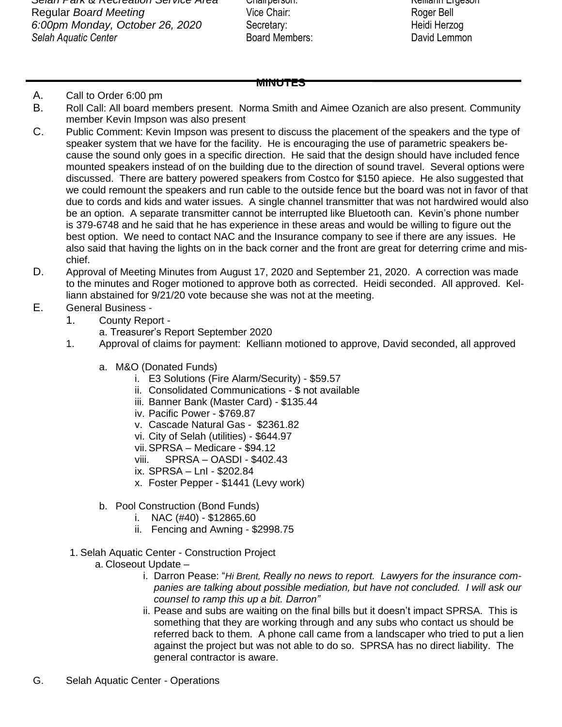*Selah Park & Recreation Service Area* Chairperson: Kelliann Ergeson Regular *Board Meeting* The Chair: The Vice Chair: Roger Bell *6:00pm Monday, October 26, 2020* Secretary: Heidi Herzog **Selah Aquatic Center Board Members: Board Members:** David Lemmon

## **MINUTES**

## A. Call to Order 6:00 pm

- B. Roll Call: All board members present. Norma Smith and Aimee Ozanich are also present. Community member Kevin Impson was also present
- C. Public Comment: Kevin Impson was present to discuss the placement of the speakers and the type of speaker system that we have for the facility. He is encouraging the use of parametric speakers because the sound only goes in a specific direction. He said that the design should have included fence mounted speakers instead of on the building due to the direction of sound travel. Several options were discussed. There are battery powered speakers from Costco for \$150 apiece. He also suggested that we could remount the speakers and run cable to the outside fence but the board was not in favor of that due to cords and kids and water issues. A single channel transmitter that was not hardwired would also be an option. A separate transmitter cannot be interrupted like Bluetooth can. Kevin's phone number is 379-6748 and he said that he has experience in these areas and would be willing to figure out the best option. We need to contact NAC and the Insurance company to see if there are any issues. He also said that having the lights on in the back corner and the front are great for deterring crime and mischief.
- D. Approval of Meeting Minutes from August 17, 2020 and September 21, 2020. A correction was made to the minutes and Roger motioned to approve both as corrected. Heidi seconded. All approved. Kelliann abstained for 9/21/20 vote because she was not at the meeting.
- E. General Business
	- 1. County Report
		- a. Treasurer's Report September 2020
	- 1. Approval of claims for payment: Kelliann motioned to approve, David seconded, all approved
		- a. M&O (Donated Funds)
			- i. E3 Solutions (Fire Alarm/Security) \$59.57
			- ii. Consolidated Communications \$ not available
			- iii. Banner Bank (Master Card) \$135.44
			- iv. Pacific Power \$769.87
			- v. Cascade Natural Gas \$2361.82
			- vi. City of Selah (utilities) \$644.97
			- vii.SPRSA Medicare \$94.12
			- viii. SPRSA OASDI \$402.43
			- ix. SPRSA LnI \$202.84
			- x. Foster Pepper \$1441 (Levy work)
		- b. Pool Construction (Bond Funds)
			- i. NAC (#40) \$12865.60
			- ii. Fencing and Awning \$2998.75
	- 1. Selah Aquatic Center Construction Project
		- a. Closeout Update
			- i. Darron Pease: "*Hi Brent, Really no news to report. Lawyers for the insurance companies are talking about possible mediation, but have not concluded. I will ask our counsel to ramp this up a bit. Darron"*
			- ii. Pease and subs are waiting on the final bills but it doesn't impact SPRSA. This is something that they are working through and any subs who contact us should be referred back to them. A phone call came from a landscaper who tried to put a lien against the project but was not able to do so. SPRSA has no direct liability. The general contractor is aware.